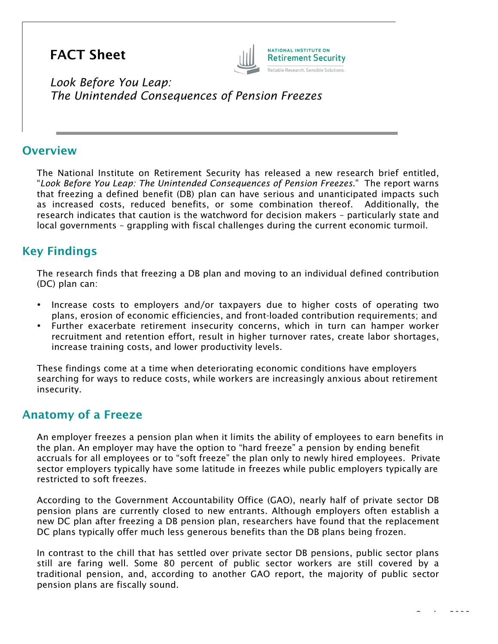# FACT Sheet



*Look Before You Leap: The Unintended Consequences of Pension Freezes*

#### **Overview**

The National Institute on Retirement Security has released a new research brief entitled, "*Look Before You Leap: The Unintended Consequences of Pension Freezes*." The report warns that freezing a defined benefit (DB) plan can have serious and unanticipated impacts such as increased costs, reduced benefits, or some combination thereof. Additionally, the research indicates that caution is the watchword for decision makers – particularly state and local governments – grappling with fiscal challenges during the current economic turmoil.

# Key Findings

The research finds that freezing a DB plan and moving to an individual defined contribution (DC) plan can:

- Increase costs to employers and/or taxpayers due to higher costs of operating two plans, erosion of economic efficiencies, and front-loaded contribution requirements; and
- Further exacerbate retirement insecurity concerns, which in turn can hamper worker recruitment and retention effort, result in higher turnover rates, create labor shortages, increase training costs, and lower productivity levels.

These findings come at a time when deteriorating economic conditions have employers searching for ways to reduce costs, while workers are increasingly anxious about retirement insecurity.

# Anatomy of a Freeze

An employer freezes a pension plan when it limits the ability of employees to earn benefits in the plan. An employer may have the option to "hard freeze" a pension by ending benefit accruals for all employees or to "soft freeze" the plan only to newly hired employees. Private sector employers typically have some latitude in freezes while public employers typically are restricted to soft freezes.

According to the Government Accountability Office (GAO), nearly half of private sector DB pension plans are currently closed to new entrants. Although employers often establish a new DC plan after freezing a DB pension plan, researchers have found that the replacement DC plans typically offer much less generous benefits than the DB plans being frozen.

In contrast to the chill that has settled over private sector DB pensions, public sector plans still are faring well. Some 80 percent of public sector workers are still covered by a traditional pension, and, according to another GAO report, the majority of public sector pension plans are fiscally sound.